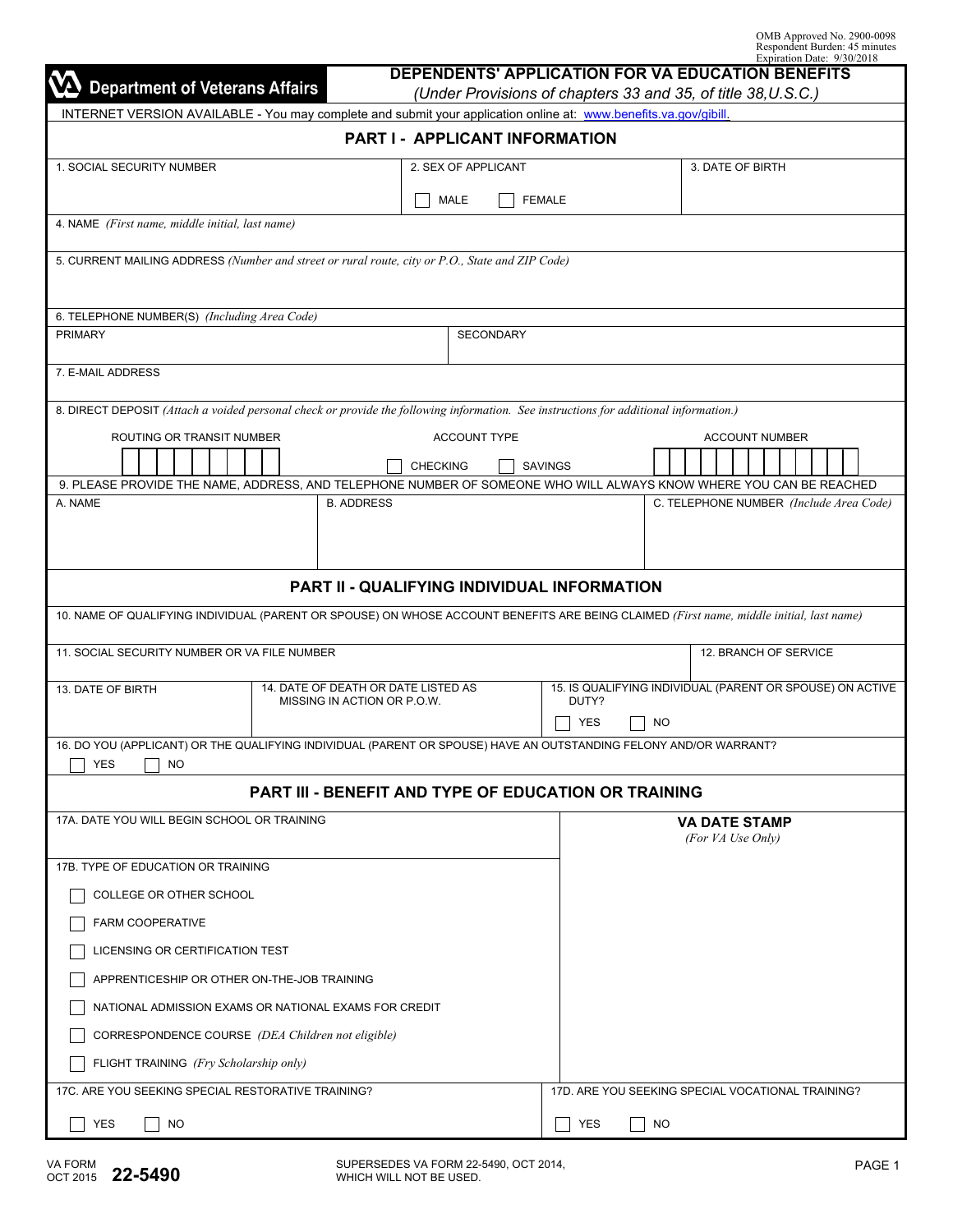| OMB Approved No. 2900-0098    |  |
|-------------------------------|--|
| Respondent Burden: 45 minutes |  |
| Expiration Date: 9/30/2018    |  |

| DEPENDENTS' APPLICATION FOR VA EDUCATION BENEFITS<br><b>Department of Veterans Affairs</b><br>(Under Provisions of chapters 33 and 35, of title 38, U.S.C.) |                                             |                | EXPIRATION DATE: $7/30/2010$                              |  |  |
|-------------------------------------------------------------------------------------------------------------------------------------------------------------|---------------------------------------------|----------------|-----------------------------------------------------------|--|--|
| INTERNET VERSION AVAILABLE - You may complete and submit your application online at: www.benefits.va.gov/gibill.                                            |                                             |                |                                                           |  |  |
|                                                                                                                                                             | PART I - APPLICANT INFORMATION              |                |                                                           |  |  |
| 1. SOCIAL SECURITY NUMBER                                                                                                                                   | 2. SEX OF APPLICANT                         |                | 3. DATE OF BIRTH                                          |  |  |
|                                                                                                                                                             | MALE                                        | <b>FEMALE</b>  |                                                           |  |  |
| 4. NAME (First name, middle initial, last name)                                                                                                             |                                             |                |                                                           |  |  |
| 5. CURRENT MAILING ADDRESS (Number and street or rural route, city or P.O., State and ZIP Code)                                                             |                                             |                |                                                           |  |  |
| 6. TELEPHONE NUMBER(S) (Including Area Code)                                                                                                                |                                             |                |                                                           |  |  |
| <b>PRIMARY</b>                                                                                                                                              | <b>SECONDARY</b>                            |                |                                                           |  |  |
| 7. E-MAIL ADDRESS                                                                                                                                           |                                             |                |                                                           |  |  |
|                                                                                                                                                             |                                             |                |                                                           |  |  |
| 8. DIRECT DEPOSIT (Attach a voided personal check or provide the following information. See instructions for additional information.)                       |                                             |                |                                                           |  |  |
| ROUTING OR TRANSIT NUMBER                                                                                                                                   | <b>ACCOUNT TYPE</b>                         |                | <b>ACCOUNT NUMBER</b>                                     |  |  |
|                                                                                                                                                             | <b>CHECKING</b>                             | <b>SAVINGS</b> |                                                           |  |  |
| 9. PLEASE PROVIDE THE NAME, ADDRESS, AND TELEPHONE NUMBER OF SOMEONE WHO WILL ALWAYS KNOW WHERE YOU CAN BE REACHED<br>A. NAME<br><b>B. ADDRESS</b>          |                                             |                | C. TELEPHONE NUMBER (Include Area Code)                   |  |  |
|                                                                                                                                                             |                                             |                |                                                           |  |  |
|                                                                                                                                                             |                                             |                |                                                           |  |  |
|                                                                                                                                                             | PART II - QUALIFYING INDIVIDUAL INFORMATION |                |                                                           |  |  |
|                                                                                                                                                             |                                             |                |                                                           |  |  |
| 10. NAME OF QUALIFYING INDIVIDUAL (PARENT OR SPOUSE) ON WHOSE ACCOUNT BENEFITS ARE BEING CLAIMED (First name, middle initial, last name)                    |                                             |                |                                                           |  |  |
| 11. SOCIAL SECURITY NUMBER OR VA FILE NUMBER                                                                                                                |                                             |                | 12. BRANCH OF SERVICE                                     |  |  |
| 14. DATE OF DEATH OR DATE LISTED AS<br>13. DATE OF BIRTH                                                                                                    |                                             |                | 15. IS QUALIFYING INDIVIDUAL (PARENT OR SPOUSE) ON ACTIVE |  |  |
| MISSING IN ACTION OR P.O.W.                                                                                                                                 |                                             | DUTY?          |                                                           |  |  |
| 16. DO YOU (APPLICANT) OR THE QUALIFYING INDIVIDUAL (PARENT OR SPOUSE) HAVE AN OUTSTANDING FELONY AND/OR WARRANT?                                           |                                             | YES<br>NO      |                                                           |  |  |
| <b>NO</b><br>YES                                                                                                                                            |                                             |                |                                                           |  |  |
| <b>PART III - BENEFIT AND TYPE OF EDUCATION OR TRAINING</b>                                                                                                 |                                             |                |                                                           |  |  |
| 17A. DATE YOU WILL BEGIN SCHOOL OR TRAINING                                                                                                                 |                                             |                | <b>VA DATE STAMP</b>                                      |  |  |
|                                                                                                                                                             |                                             |                | (For VA Use Only)                                         |  |  |
| 17B. TYPE OF EDUCATION OR TRAINING                                                                                                                          |                                             |                |                                                           |  |  |
| COLLEGE OR OTHER SCHOOL                                                                                                                                     |                                             |                |                                                           |  |  |
| FARM COOPERATIVE                                                                                                                                            |                                             |                |                                                           |  |  |
| LICENSING OR CERTIFICATION TEST                                                                                                                             |                                             |                |                                                           |  |  |
| APPRENTICESHIP OR OTHER ON-THE-JOB TRAINING                                                                                                                 |                                             |                |                                                           |  |  |
| NATIONAL ADMISSION EXAMS OR NATIONAL EXAMS FOR CREDIT                                                                                                       |                                             |                |                                                           |  |  |
| CORRESPONDENCE COURSE (DEA Children not eligible)                                                                                                           |                                             |                |                                                           |  |  |
| FLIGHT TRAINING (Fry Scholarship only)                                                                                                                      |                                             |                |                                                           |  |  |
| 17C. ARE YOU SEEKING SPECIAL RESTORATIVE TRAINING?                                                                                                          |                                             |                | 17D. ARE YOU SEEKING SPECIAL VOCATIONAL TRAINING?         |  |  |
| <b>YES</b><br><b>NO</b>                                                                                                                                     |                                             | YES<br>NO      |                                                           |  |  |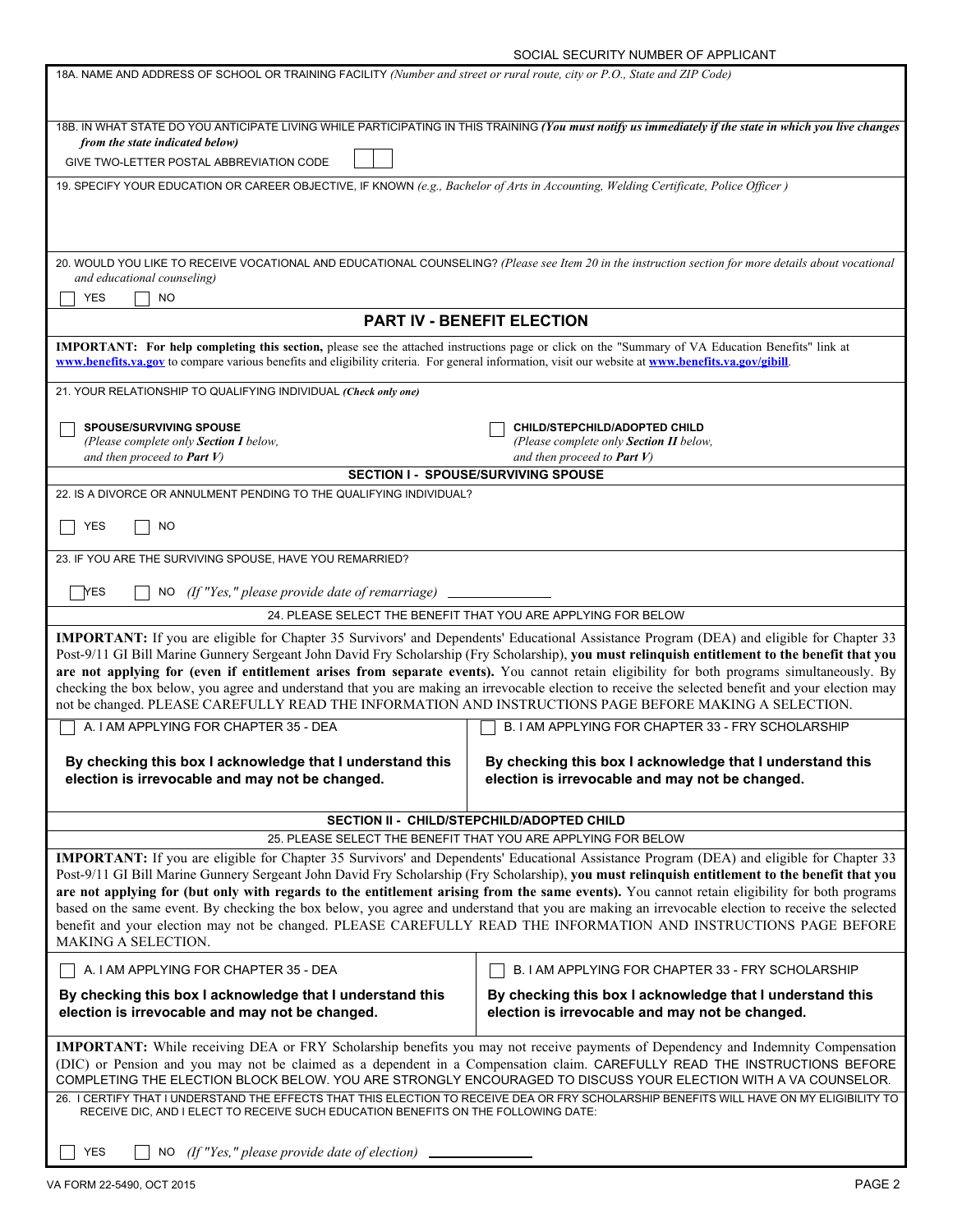| 18A. NAME AND ADDRESS OF SCHOOL OR TRAINING FACILITY (Number and street or rural route, city or P.O., State and ZIP Code)                                                                                                                    |                                                                                                                                                                                                                                                                                                  |  |  |
|----------------------------------------------------------------------------------------------------------------------------------------------------------------------------------------------------------------------------------------------|--------------------------------------------------------------------------------------------------------------------------------------------------------------------------------------------------------------------------------------------------------------------------------------------------|--|--|
|                                                                                                                                                                                                                                              |                                                                                                                                                                                                                                                                                                  |  |  |
| from the state indicated below)                                                                                                                                                                                                              | 18B. IN WHAT STATE DO YOU ANTICIPATE LIVING WHILE PARTICIPATING IN THIS TRAINING (You must notify us immediately if the state in which you live changes                                                                                                                                          |  |  |
| GIVE TWO-LETTER POSTAL ABBREVIATION CODE                                                                                                                                                                                                     |                                                                                                                                                                                                                                                                                                  |  |  |
| 19. SPECIFY YOUR EDUCATION OR CAREER OBJECTIVE, IF KNOWN (e.g., Bachelor of Arts in Accounting, Welding Certificate, Police Officer)                                                                                                         |                                                                                                                                                                                                                                                                                                  |  |  |
|                                                                                                                                                                                                                                              |                                                                                                                                                                                                                                                                                                  |  |  |
|                                                                                                                                                                                                                                              |                                                                                                                                                                                                                                                                                                  |  |  |
|                                                                                                                                                                                                                                              | 20. WOULD YOU LIKE TO RECEIVE VOCATIONAL AND EDUCATIONAL COUNSELING? (Please see Item 20 in the instruction section for more details about vocational                                                                                                                                            |  |  |
| and educational counseling)<br><b>YES</b><br><b>NO</b>                                                                                                                                                                                       |                                                                                                                                                                                                                                                                                                  |  |  |
|                                                                                                                                                                                                                                              | PART IV - BENEFIT ELECTION                                                                                                                                                                                                                                                                       |  |  |
| IMPORTANT: For help completing this section, please see the attached instructions page or click on the "Summary of VA Education Benefits" link at                                                                                            |                                                                                                                                                                                                                                                                                                  |  |  |
| www.benefits.va.gov to compare various benefits and eligibility criteria. For general information, visit our website at www.benefits.va.gov/gibill.                                                                                          |                                                                                                                                                                                                                                                                                                  |  |  |
| 21. YOUR RELATIONSHIP TO QUALIFYING INDIVIDUAL (Check only one)                                                                                                                                                                              |                                                                                                                                                                                                                                                                                                  |  |  |
| <b>SPOUSE/SURVIVING SPOUSE</b>                                                                                                                                                                                                               | CHILD/STEPCHILD/ADOPTED CHILD                                                                                                                                                                                                                                                                    |  |  |
| (Please complete only Section I below,<br>and then proceed to <b>Part V</b> )                                                                                                                                                                | (Please complete only Section II below,<br>and then proceed to <b>Part V</b> )                                                                                                                                                                                                                   |  |  |
|                                                                                                                                                                                                                                              | <b>SECTION I - SPOUSE/SURVIVING SPOUSE</b>                                                                                                                                                                                                                                                       |  |  |
| 22. IS A DIVORCE OR ANNULMENT PENDING TO THE QUALIFYING INDIVIDUAL?                                                                                                                                                                          |                                                                                                                                                                                                                                                                                                  |  |  |
| <b>YES</b><br>NO                                                                                                                                                                                                                             |                                                                                                                                                                                                                                                                                                  |  |  |
| 23. IF YOU ARE THE SURVIVING SPOUSE, HAVE YOU REMARRIED?                                                                                                                                                                                     |                                                                                                                                                                                                                                                                                                  |  |  |
| <b>YES</b><br>$NO$ (If "Yes," please provide date of remarriage)                                                                                                                                                                             |                                                                                                                                                                                                                                                                                                  |  |  |
|                                                                                                                                                                                                                                              | 24. PLEASE SELECT THE BENEFIT THAT YOU ARE APPLYING FOR BELOW                                                                                                                                                                                                                                    |  |  |
| IMPORTANT: If you are eligible for Chapter 35 Survivors' and Dependents' Educational Assistance Program (DEA) and eligible for Chapter 33                                                                                                    |                                                                                                                                                                                                                                                                                                  |  |  |
| Post-9/11 GI Bill Marine Gunnery Sergeant John David Fry Scholarship (Fry Scholarship), you must relinquish entitlement to the benefit that you                                                                                              |                                                                                                                                                                                                                                                                                                  |  |  |
|                                                                                                                                                                                                                                              | are not applying for (even if entitlement arises from separate events). You cannot retain eligibility for both programs simultaneously. By<br>checking the box below, you agree and understand that you are making an irrevocable election to receive the selected benefit and your election may |  |  |
| not be changed. PLEASE CAREFULLY READ THE INFORMATION AND INSTRUCTIONS PAGE BEFORE MAKING A SELECTION.                                                                                                                                       |                                                                                                                                                                                                                                                                                                  |  |  |
| A. I AM APPLYING FOR CHAPTER 35 - DEA                                                                                                                                                                                                        | B. I AM APPLYING FOR CHAPTER 33 - FRY SCHOLARSHIP                                                                                                                                                                                                                                                |  |  |
| By checking this box I acknowledge that I understand this                                                                                                                                                                                    | By checking this box I acknowledge that I understand this                                                                                                                                                                                                                                        |  |  |
| election is irrevocable and may not be changed.                                                                                                                                                                                              | election is irrevocable and may not be changed.                                                                                                                                                                                                                                                  |  |  |
|                                                                                                                                                                                                                                              | SECTION II - CHILD/STEPCHILD/ADOPTED CHILD                                                                                                                                                                                                                                                       |  |  |
|                                                                                                                                                                                                                                              | 25. PLEASE SELECT THE BENEFIT THAT YOU ARE APPLYING FOR BELOW                                                                                                                                                                                                                                    |  |  |
|                                                                                                                                                                                                                                              | IMPORTANT: If you are eligible for Chapter 35 Survivors' and Dependents' Educational Assistance Program (DEA) and eligible for Chapter 33<br>Post-9/11 GI Bill Marine Gunnery Sergeant John David Fry Scholarship (Fry Scholarship), you must relinquish entitlement to the benefit that you     |  |  |
|                                                                                                                                                                                                                                              | are not applying for (but only with regards to the entitlement arising from the same events). You cannot retain eligibility for both programs                                                                                                                                                    |  |  |
|                                                                                                                                                                                                                                              | based on the same event. By checking the box below, you agree and understand that you are making an irrevocable election to receive the selected                                                                                                                                                 |  |  |
| MAKING A SELECTION.                                                                                                                                                                                                                          | benefit and your election may not be changed. PLEASE CAREFULLY READ THE INFORMATION AND INSTRUCTIONS PAGE BEFORE                                                                                                                                                                                 |  |  |
| A. I AM APPLYING FOR CHAPTER 35 - DEA<br>B. I AM APPLYING FOR CHAPTER 33 - FRY SCHOLARSHIP                                                                                                                                                   |                                                                                                                                                                                                                                                                                                  |  |  |
| By checking this box I acknowledge that I understand this                                                                                                                                                                                    | By checking this box I acknowledge that I understand this                                                                                                                                                                                                                                        |  |  |
| election is irrevocable and may not be changed.                                                                                                                                                                                              | election is irrevocable and may not be changed.                                                                                                                                                                                                                                                  |  |  |
| IMPORTANT: While receiving DEA or FRY Scholarship benefits you may not receive payments of Dependency and Indemnity Compensation                                                                                                             |                                                                                                                                                                                                                                                                                                  |  |  |
| (DIC) or Pension and you may not be claimed as a dependent in a Compensation claim. CAREFULLY READ THE INSTRUCTIONS BEFORE<br>COMPLETING THE ELECTION BLOCK BELOW. YOU ARE STRONGLY ENCOURAGED TO DISCUSS YOUR ELECTION WITH A VA COUNSELOR. |                                                                                                                                                                                                                                                                                                  |  |  |
| 26. I CERTIFY THAT I UNDERSTAND THE EFFECTS THAT THIS ELECTION TO RECEIVE DEA OR FRY SCHOLARSHIP BENEFITS WILL HAVE ON MY ELIGIBILITY TO<br>RECEIVE DIC, AND I ELECT TO RECEIVE SUCH EDUCATION BENEFITS ON THE FOLLOWING DATE:               |                                                                                                                                                                                                                                                                                                  |  |  |
| <b>YES</b><br>$NO$ (If "Yes," please provide date of election)                                                                                                                                                                               |                                                                                                                                                                                                                                                                                                  |  |  |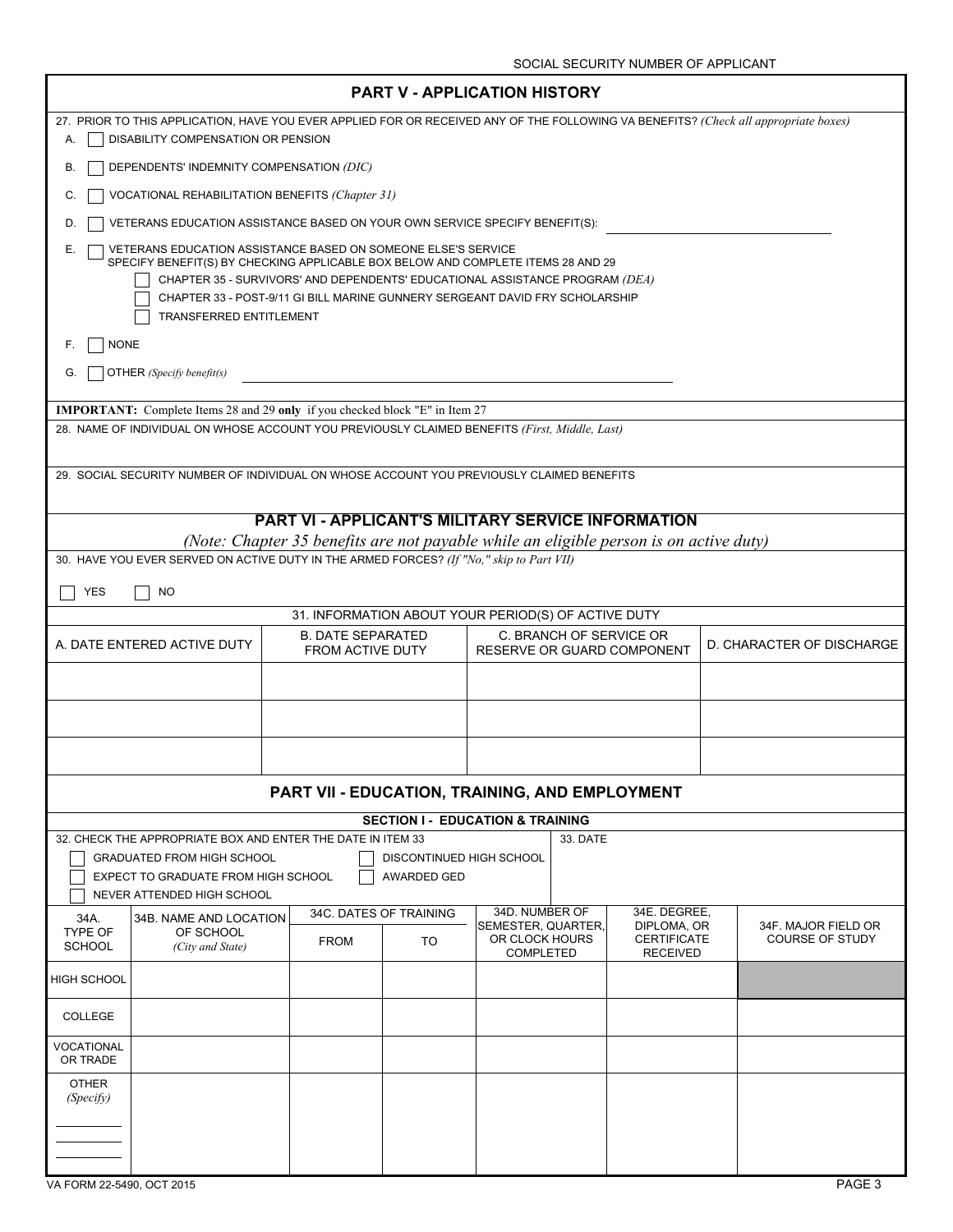| <b>PART V - APPLICATION HISTORY</b>                                                                                                                     |                                                                                                                                                                            |                                             |                                      |          |                                       |                           |
|---------------------------------------------------------------------------------------------------------------------------------------------------------|----------------------------------------------------------------------------------------------------------------------------------------------------------------------------|---------------------------------------------|--------------------------------------|----------|---------------------------------------|---------------------------|
| А.                                                                                                                                                      | 27. PRIOR TO THIS APPLICATION, HAVE YOU EVER APPLIED FOR OR RECEIVED ANY OF THE FOLLOWING VA BENEFITS? (Check all appropriate boxes)<br>DISABILITY COMPENSATION OR PENSION |                                             |                                      |          |                                       |                           |
| DEPENDENTS' INDEMNITY COMPENSATION (DIC)<br>В.                                                                                                          |                                                                                                                                                                            |                                             |                                      |          |                                       |                           |
| VOCATIONAL REHABILITATION BENEFITS (Chapter 31)<br>C.                                                                                                   |                                                                                                                                                                            |                                             |                                      |          |                                       |                           |
| VETERANS EDUCATION ASSISTANCE BASED ON YOUR OWN SERVICE SPECIFY BENEFIT(S):<br>D.                                                                       |                                                                                                                                                                            |                                             |                                      |          |                                       |                           |
| VETERANS EDUCATION ASSISTANCE BASED ON SOMEONE ELSE'S SERVICE<br>Е.<br>SPECIFY BENEFIT(S) BY CHECKING APPLICABLE BOX BELOW AND COMPLETE ITEMS 28 AND 29 |                                                                                                                                                                            |                                             |                                      |          |                                       |                           |
|                                                                                                                                                         | CHAPTER 35 - SURVIVORS' AND DEPENDENTS' EDUCATIONAL ASSISTANCE PROGRAM (DEA)                                                                                               |                                             |                                      |          |                                       |                           |
| TRANSFERRED ENTITLEMENT                                                                                                                                 | CHAPTER 33 - POST-9/11 GI BILL MARINE GUNNERY SERGEANT DAVID FRY SCHOLARSHIP                                                                                               |                                             |                                      |          |                                       |                           |
| <b>NONE</b><br>F.                                                                                                                                       |                                                                                                                                                                            |                                             |                                      |          |                                       |                           |
| OTHER (Specify benefit(s)<br>G.                                                                                                                         |                                                                                                                                                                            |                                             |                                      |          |                                       |                           |
| <b>IMPORTANT:</b> Complete Items 28 and 29 only if you checked block "E" in Item 27                                                                     |                                                                                                                                                                            |                                             |                                      |          |                                       |                           |
| 28. NAME OF INDIVIDUAL ON WHOSE ACCOUNT YOU PREVIOUSLY CLAIMED BENEFITS (First, Middle, Last)                                                           |                                                                                                                                                                            |                                             |                                      |          |                                       |                           |
|                                                                                                                                                         |                                                                                                                                                                            |                                             |                                      |          |                                       |                           |
| 29. SOCIAL SECURITY NUMBER OF INDIVIDUAL ON WHOSE ACCOUNT YOU PREVIOUSLY CLAIMED BENEFITS                                                               |                                                                                                                                                                            |                                             |                                      |          |                                       |                           |
|                                                                                                                                                         | <b>PART VI - APPLICANT'S MILITARY SERVICE INFORMATION</b>                                                                                                                  |                                             |                                      |          |                                       |                           |
| 30. HAVE YOU EVER SERVED ON ACTIVE DUTY IN THE ARMED FORCES? (If "No," skip to Part VII)                                                                | (Note: Chapter 35 benefits are not payable while an eligible person is on active duty)                                                                                     |                                             |                                      |          |                                       |                           |
|                                                                                                                                                         |                                                                                                                                                                            |                                             |                                      |          |                                       |                           |
| <b>YES</b><br>NO                                                                                                                                        |                                                                                                                                                                            |                                             |                                      |          |                                       |                           |
|                                                                                                                                                         | 31. INFORMATION ABOUT YOUR PERIOD(S) OF ACTIVE DUTY<br><b>B. DATE SEPARATED</b>                                                                                            |                                             |                                      |          | C. BRANCH OF SERVICE OR               |                           |
| A. DATE ENTERED ACTIVE DUTY                                                                                                                             | FROM ACTIVE DUTY                                                                                                                                                           |                                             |                                      |          | RESERVE OR GUARD COMPONENT            | D. CHARACTER OF DISCHARGE |
|                                                                                                                                                         |                                                                                                                                                                            |                                             |                                      |          |                                       |                           |
|                                                                                                                                                         |                                                                                                                                                                            |                                             |                                      |          |                                       |                           |
|                                                                                                                                                         |                                                                                                                                                                            |                                             |                                      |          |                                       |                           |
|                                                                                                                                                         | PART VII - EDUCATION, TRAINING, AND EMPLOYMENT                                                                                                                             |                                             |                                      |          |                                       |                           |
|                                                                                                                                                         |                                                                                                                                                                            | <b>SECTION I - EDUCATION &amp; TRAINING</b> |                                      |          |                                       |                           |
| 32. CHECK THE APPROPRIATE BOX AND ENTER THE DATE IN ITEM 33                                                                                             |                                                                                                                                                                            |                                             |                                      | 33. DATE |                                       |                           |
| <b>GRADUATED FROM HIGH SCHOOL</b><br>EXPECT TO GRADUATE FROM HIGH SCHOOL                                                                                |                                                                                                                                                                            | DISCONTINUED HIGH SCHOOL<br>AWARDED GED     |                                      |          |                                       |                           |
| NEVER ATTENDED HIGH SCHOOL                                                                                                                              |                                                                                                                                                                            |                                             |                                      |          |                                       |                           |
| 34B. NAME AND LOCATION<br>34A.                                                                                                                          |                                                                                                                                                                            | 34C. DATES OF TRAINING                      | 34D. NUMBER OF<br>SEMESTER, QUARTER, |          | 34E. DEGREE,<br>DIPLOMA, OR           | 34F. MAJOR FIELD OR       |
| <b>TYPE OF</b><br>OF SCHOOL<br><b>SCHOOL</b><br>(City and State)                                                                                        | <b>FROM</b>                                                                                                                                                                | TO                                          | OR CLOCK HOURS<br><b>COMPLETED</b>   |          | <b>CERTIFICATE</b><br><b>RECEIVED</b> | <b>COURSE OF STUDY</b>    |
| HIGH SCHOOL                                                                                                                                             |                                                                                                                                                                            |                                             |                                      |          |                                       |                           |
| <b>COLLEGE</b>                                                                                                                                          |                                                                                                                                                                            |                                             |                                      |          |                                       |                           |
| VOCATIONAL<br>OR TRADE                                                                                                                                  |                                                                                                                                                                            |                                             |                                      |          |                                       |                           |
| <b>OTHER</b><br>(Specify)                                                                                                                               |                                                                                                                                                                            |                                             |                                      |          |                                       |                           |
|                                                                                                                                                         |                                                                                                                                                                            |                                             |                                      |          |                                       |                           |
|                                                                                                                                                         |                                                                                                                                                                            |                                             |                                      |          |                                       |                           |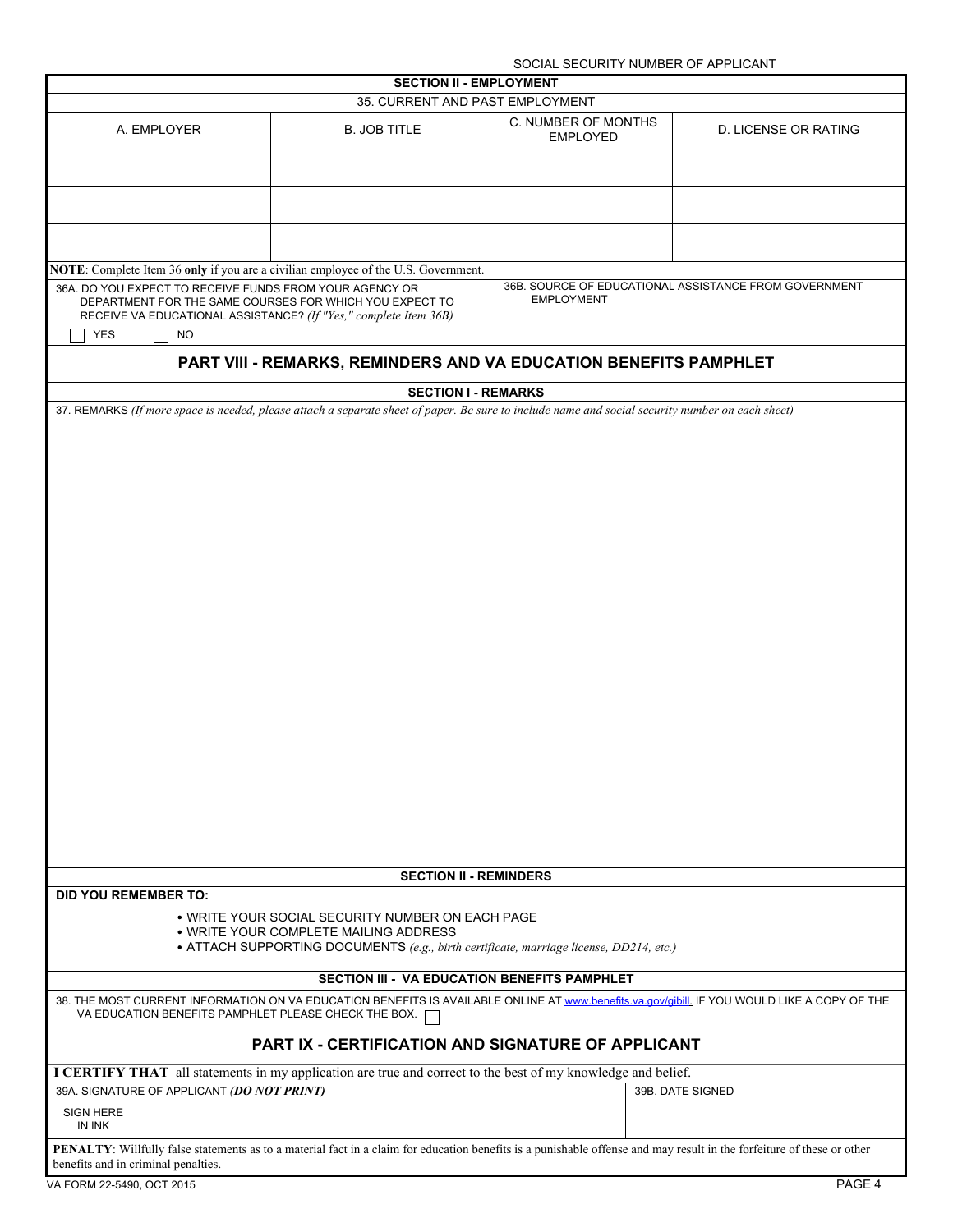|                                                                                                                                                                                                                   |                                                                                                                                                                        | SOCIAL SECURITY NUMBER OF APPLICANT    |                                                       |  |
|-------------------------------------------------------------------------------------------------------------------------------------------------------------------------------------------------------------------|------------------------------------------------------------------------------------------------------------------------------------------------------------------------|----------------------------------------|-------------------------------------------------------|--|
| <b>SECTION II - EMPLOYMENT</b>                                                                                                                                                                                    |                                                                                                                                                                        |                                        |                                                       |  |
|                                                                                                                                                                                                                   | 35. CURRENT AND PAST EMPLOYMENT                                                                                                                                        |                                        |                                                       |  |
| A. EMPLOYER                                                                                                                                                                                                       | <b>B. JOB TITLE</b>                                                                                                                                                    | C. NUMBER OF MONTHS<br><b>EMPLOYED</b> | D. LICENSE OR RATING                                  |  |
|                                                                                                                                                                                                                   |                                                                                                                                                                        |                                        |                                                       |  |
|                                                                                                                                                                                                                   |                                                                                                                                                                        |                                        |                                                       |  |
|                                                                                                                                                                                                                   |                                                                                                                                                                        |                                        |                                                       |  |
| <b>NOTE:</b> Complete Item 36 only if you are a civilian employee of the U.S. Government.                                                                                                                         |                                                                                                                                                                        |                                        |                                                       |  |
| 36A. DO YOU EXPECT TO RECEIVE FUNDS FROM YOUR AGENCY OR<br>DEPARTMENT FOR THE SAME COURSES FOR WHICH YOU EXPECT TO<br>RECEIVE VA EDUCATIONAL ASSISTANCE? (If "Yes," complete Item 36B)<br><b>YES</b><br><b>NO</b> |                                                                                                                                                                        | <b>EMPLOYMENT</b>                      | 36B. SOURCE OF EDUCATIONAL ASSISTANCE FROM GOVERNMENT |  |
|                                                                                                                                                                                                                   | PART VIII - REMARKS, REMINDERS AND VA EDUCATION BENEFITS PAMPHLET                                                                                                      |                                        |                                                       |  |
|                                                                                                                                                                                                                   | <b>SECTION I - REMARKS</b>                                                                                                                                             |                                        |                                                       |  |
|                                                                                                                                                                                                                   | 37. REMARKS (If more space is needed, please attach a separate sheet of paper. Be sure to include name and social security number on each sheet)                       |                                        |                                                       |  |
|                                                                                                                                                                                                                   |                                                                                                                                                                        |                                        |                                                       |  |
|                                                                                                                                                                                                                   |                                                                                                                                                                        |                                        |                                                       |  |
|                                                                                                                                                                                                                   |                                                                                                                                                                        |                                        |                                                       |  |
|                                                                                                                                                                                                                   |                                                                                                                                                                        |                                        |                                                       |  |
|                                                                                                                                                                                                                   |                                                                                                                                                                        |                                        |                                                       |  |
|                                                                                                                                                                                                                   |                                                                                                                                                                        |                                        |                                                       |  |
|                                                                                                                                                                                                                   |                                                                                                                                                                        |                                        |                                                       |  |
|                                                                                                                                                                                                                   |                                                                                                                                                                        |                                        |                                                       |  |
|                                                                                                                                                                                                                   |                                                                                                                                                                        |                                        |                                                       |  |
|                                                                                                                                                                                                                   |                                                                                                                                                                        |                                        |                                                       |  |
|                                                                                                                                                                                                                   |                                                                                                                                                                        |                                        |                                                       |  |
|                                                                                                                                                                                                                   |                                                                                                                                                                        |                                        |                                                       |  |
|                                                                                                                                                                                                                   |                                                                                                                                                                        |                                        |                                                       |  |
|                                                                                                                                                                                                                   |                                                                                                                                                                        |                                        |                                                       |  |
|                                                                                                                                                                                                                   |                                                                                                                                                                        |                                        |                                                       |  |
|                                                                                                                                                                                                                   |                                                                                                                                                                        |                                        |                                                       |  |
|                                                                                                                                                                                                                   |                                                                                                                                                                        |                                        |                                                       |  |
|                                                                                                                                                                                                                   |                                                                                                                                                                        |                                        |                                                       |  |
|                                                                                                                                                                                                                   |                                                                                                                                                                        |                                        |                                                       |  |
|                                                                                                                                                                                                                   |                                                                                                                                                                        |                                        |                                                       |  |
|                                                                                                                                                                                                                   |                                                                                                                                                                        |                                        |                                                       |  |
|                                                                                                                                                                                                                   |                                                                                                                                                                        |                                        |                                                       |  |
|                                                                                                                                                                                                                   |                                                                                                                                                                        |                                        |                                                       |  |
|                                                                                                                                                                                                                   |                                                                                                                                                                        |                                        |                                                       |  |
|                                                                                                                                                                                                                   | <b>SECTION II - REMINDERS</b>                                                                                                                                          |                                        |                                                       |  |
| <b>DID YOU REMEMBER TO:</b>                                                                                                                                                                                       |                                                                                                                                                                        |                                        |                                                       |  |
|                                                                                                                                                                                                                   | • WRITE YOUR SOCIAL SECURITY NUMBER ON EACH PAGE                                                                                                                       |                                        |                                                       |  |
|                                                                                                                                                                                                                   | . WRITE YOUR COMPLETE MAILING ADDRESS                                                                                                                                  |                                        |                                                       |  |
|                                                                                                                                                                                                                   | • ATTACH SUPPORTING DOCUMENTS (e.g., birth certificate, marriage license, DD214, etc.)                                                                                 |                                        |                                                       |  |
| SECTION III - VA EDUCATION BENEFITS PAMPHLET                                                                                                                                                                      |                                                                                                                                                                        |                                        |                                                       |  |
| 38. THE MOST CURRENT INFORMATION ON VA EDUCATION BENEFITS IS AVAILABLE ONLINE AT www.benefits.va.gov/gibill. IF YOU WOULD LIKE A COPY OF THE                                                                      |                                                                                                                                                                        |                                        |                                                       |  |
| VA EDUCATION BENEFITS PAMPHLET PLEASE CHECK THE BOX.                                                                                                                                                              |                                                                                                                                                                        |                                        |                                                       |  |
| PART IX - CERTIFICATION AND SIGNATURE OF APPLICANT                                                                                                                                                                |                                                                                                                                                                        |                                        |                                                       |  |
|                                                                                                                                                                                                                   | I CERTIFY THAT all statements in my application are true and correct to the best of my knowledge and belief.                                                           |                                        |                                                       |  |
| 39A. SIGNATURE OF APPLICANT (DO NOT PRINT)                                                                                                                                                                        |                                                                                                                                                                        |                                        | 39B. DATE SIGNED                                      |  |
| <b>SIGN HERE</b><br>IN INK                                                                                                                                                                                        |                                                                                                                                                                        |                                        |                                                       |  |
| benefits and in criminal penalties.                                                                                                                                                                               | PENALTY: Willfully false statements as to a material fact in a claim for education benefits is a punishable offense and may result in the forfeiture of these or other |                                        |                                                       |  |
| $\mu$ FODM 20 F 400 OOT 2045                                                                                                                                                                                      |                                                                                                                                                                        |                                        |                                                       |  |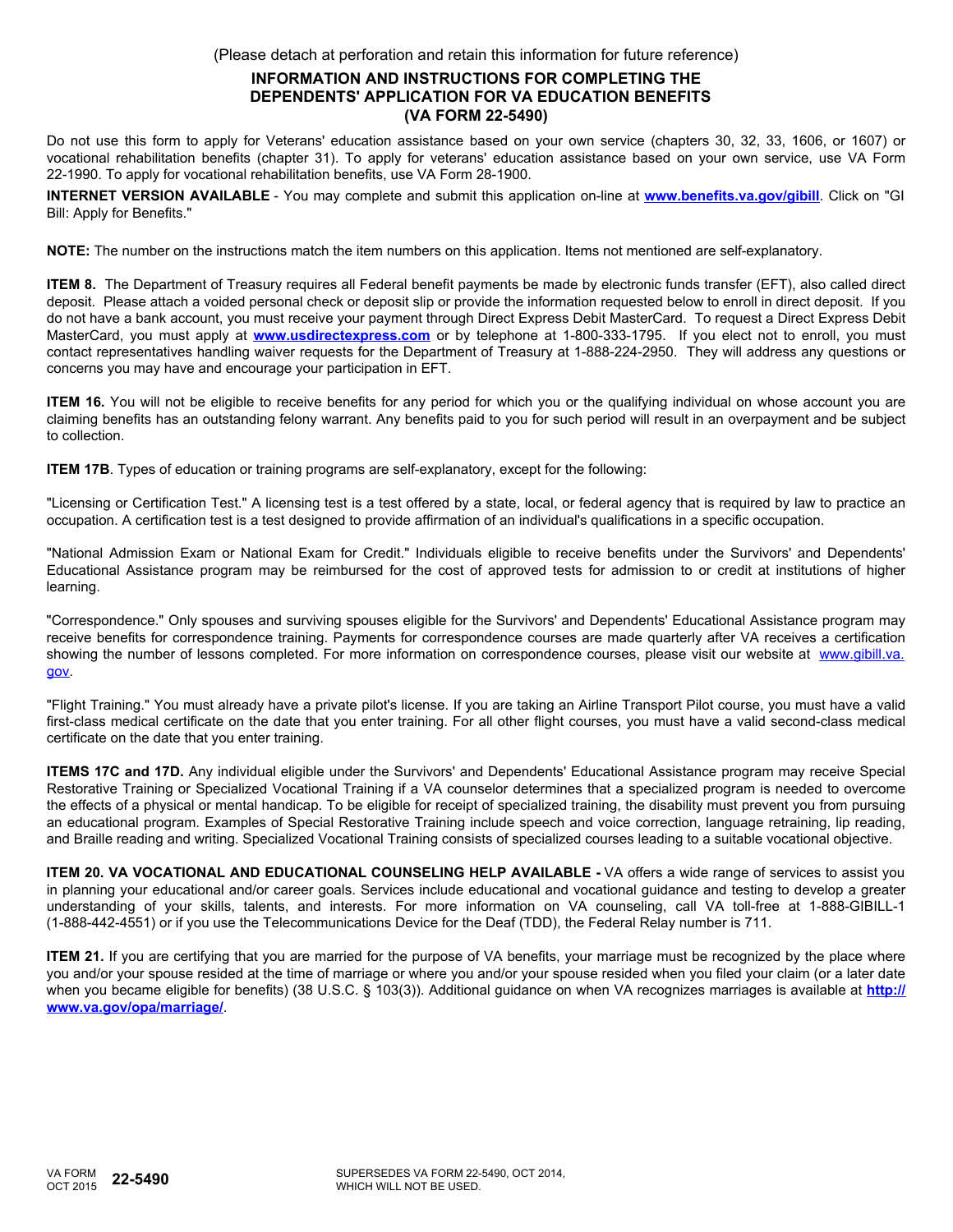(Please detach at perforation and retain this information for future reference)

## **INFORMATION AND INSTRUCTIONS FOR COMPLETING THE DEPENDENTS' APPLICATION FOR VA EDUCATION BENEFITS (VA FORM 22-5490)**

Do not use this form to apply for Veterans' education assistance based on your own service (chapters 30, 32, 33, 1606, or 1607) or vocational rehabilitation benefits (chapter 31). To apply for veterans' education assistance based on your own service, use VA Form 22-1990. To apply for vocational rehabilitation benefits, use VA Form 28-1900.

**INTERNET VERSION AVAILABLE** - You may complete and submit this application on-line at **<www.benefits.va.gov/gibill>**. Click on "GI Bill: Apply for Benefits."

**NOTE:** The number on the instructions match the item numbers on this application. Items not mentioned are self-explanatory.

**ITEM 8.** The Department of Treasury requires all Federal benefit payments be made by electronic funds transfer (EFT), also called direct deposit. Please attach a voided personal check or deposit slip or provide the information requested below to enroll in direct deposit. If you do not have a bank account, you must receive your payment through Direct Express Debit MasterCard. To request a Direct Express Debit MasterCard, you must apply at **<www.usdirectexpress.com>** or by telephone at 1-800-333-1795. If you elect not to enroll, you must contact representatives handling waiver requests for the Department of Treasury at 1-888-224-2950. They will address any questions or concerns you may have and encourage your participation in EFT.

**ITEM 16.** You will not be eligible to receive benefits for any period for which you or the qualifying individual on whose account you are claiming benefits has an outstanding felony warrant. Any benefits paid to you for such period will result in an overpayment and be subject to collection.

**ITEM 17B**. Types of education or training programs are self-explanatory, except for the following:

"Licensing or Certification Test." A licensing test is a test offered by a state, local, or federal agency that is required by law to practice an occupation. A certification test is a test designed to provide affirmation of an individual's qualifications in a specific occupation.

"National Admission Exam or National Exam for Credit." Individuals eligible to receive benefits under the Survivors' and Dependents' Educational Assistance program may be reimbursed for the cost of approved tests for admission to or credit at institutions of higher learning.

"Correspondence." Only spouses and surviving spouses eligible for the Survivors' and Dependents' Educational Assistance program may receive benefits for correspondence training. Payments for correspondence courses are made quarterly after VA receives a certification showing the number of lessons completed. For more information on correspondence courses, please visit our website at [www.gibill.va.](www.gibill.va.gov) [gov.](www.gibill.va.gov)

"Flight Training." You must already have a private pilot's license. If you are taking an Airline Transport Pilot course, you must have a valid first-class medical certificate on the date that you enter training. For all other flight courses, you must have a valid second-class medical certificate on the date that you enter training.

**ITEMS 17C and 17D.** Any individual eligible under the Survivors' and Dependents' Educational Assistance program may receive Special Restorative Training or Specialized Vocational Training if a VA counselor determines that a specialized program is needed to overcome the effects of a physical or mental handicap. To be eligible for receipt of specialized training, the disability must prevent you from pursuing an educational program. Examples of Special Restorative Training include speech and voice correction, language retraining, lip reading, and Braille reading and writing. Specialized Vocational Training consists of specialized courses leading to a suitable vocational objective.

**ITEM 20. VA VOCATIONAL AND EDUCATIONAL COUNSELING HELP AVAILABLE -** VA offers a wide range of services to assist you in planning your educational and/or career goals. Services include educational and vocational guidance and testing to develop a greater understanding of your skills, talents, and interests. For more information on VA counseling, call VA toll-free at 1-888-GIBILL-1 (1-888-442-4551) or if you use the Telecommunications Device for the Deaf (TDD), the Federal Relay number is 711.

**ITEM 21.** If you are certifying that you are married for the purpose of VA benefits, your marriage must be recognized by the place where you and/or your spouse resided at the time of marriage or where you and/or your spouse resided when you filed your claim (or a later date when you became eligible for benefits) (38 U.S.C. § 103(3)). Additional guidance on when VA recognizes marriages is available at **[http://](http://www.va.gov/opa/marriage/) [www.va.gov/opa/marriage/](http://www.va.gov/opa/marriage/)**.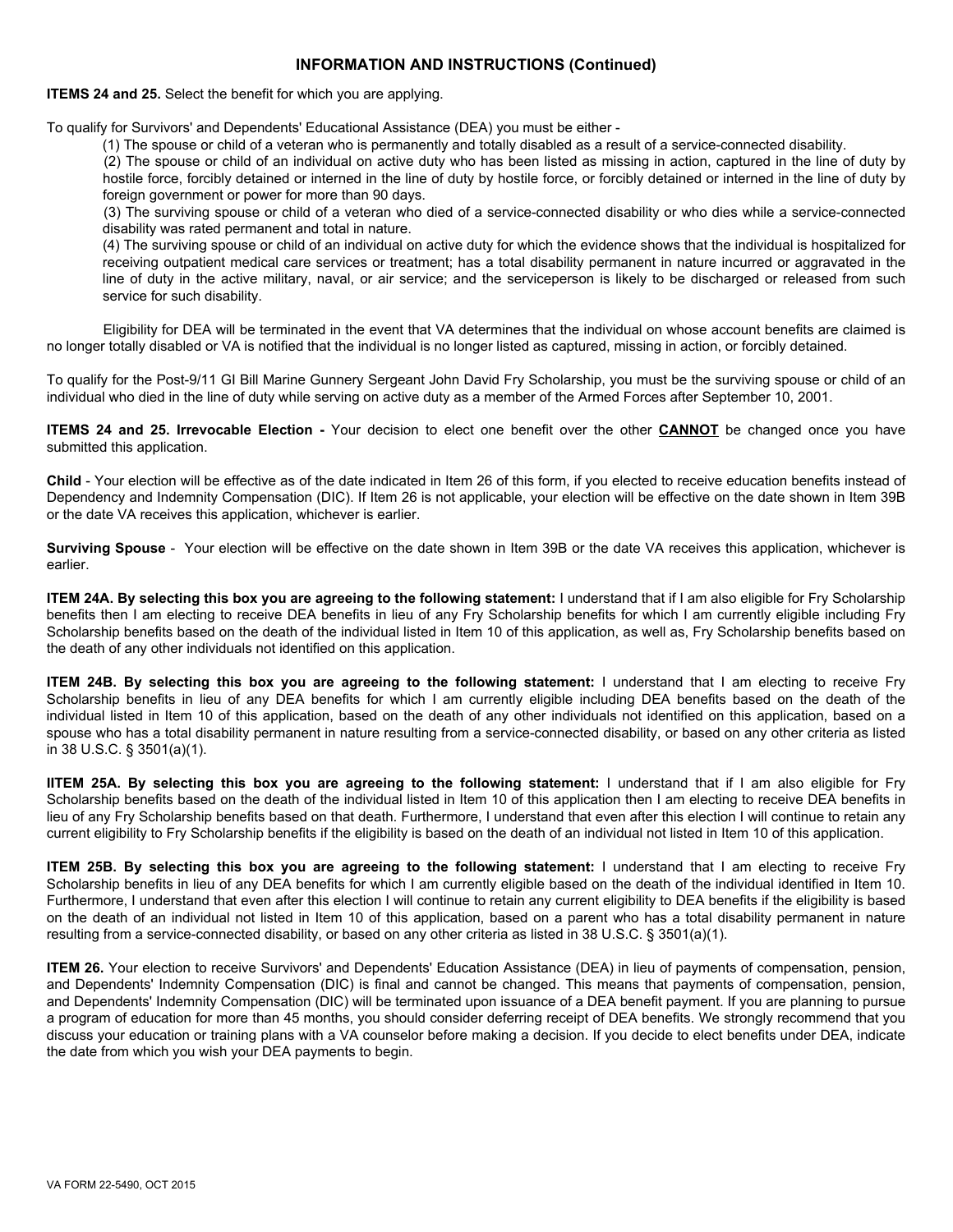### **INFORMATION AND INSTRUCTIONS (Continued)**

**ITEMS 24 and 25.** Select the benefit for which you are applying.

To qualify for Survivors' and Dependents' Educational Assistance (DEA) you must be either -

(1) The spouse or child of a veteran who is permanently and totally disabled as a result of a service-connected disability.

(2) The spouse or child of an individual on active duty who has been listed as missing in action, captured in the line of duty by hostile force, forcibly detained or interned in the line of duty by hostile force, or forcibly detained or interned in the line of duty by foreign government or power for more than 90 days.

(3) The surviving spouse or child of a veteran who died of a service-connected disability or who dies while a service-connected disability was rated permanent and total in nature.

(4) The surviving spouse or child of an individual on active duty for which the evidence shows that the individual is hospitalized for receiving outpatient medical care services or treatment; has a total disability permanent in nature incurred or aggravated in the line of duty in the active military, naval, or air service; and the serviceperson is likely to be discharged or released from such service for such disability.

Eligibility for DEA will be terminated in the event that VA determines that the individual on whose account benefits are claimed is no longer totally disabled or VA is notified that the individual is no longer listed as captured, missing in action, or forcibly detained.

To qualify for the Post-9/11 GI Bill Marine Gunnery Sergeant John David Fry Scholarship, you must be the surviving spouse or child of an individual who died in the line of duty while serving on active duty as a member of the Armed Forces after September 10, 2001.

**ITEMS 24 and 25. Irrevocable Election -** Your decision to elect one benefit over the other **CANNOT** be changed once you have submitted this application.

**Child** - Your election will be effective as of the date indicated in Item 26 of this form, if you elected to receive education benefits instead of Dependency and Indemnity Compensation (DIC). If Item 26 is not applicable, your election will be effective on the date shown in Item 39B or the date VA receives this application, whichever is earlier.

**Surviving Spouse** - Your election will be effective on the date shown in Item 39B or the date VA receives this application, whichever is earlier.

**ITEM 24A. By selecting this box you are agreeing to the following statement:** I understand that if I am also eligible for Fry Scholarship benefits then I am electing to receive DEA benefits in lieu of any Fry Scholarship benefits for which I am currently eligible including Fry Scholarship benefits based on the death of the individual listed in Item 10 of this application, as well as, Fry Scholarship benefits based on the death of any other individuals not identified on this application.

**ITEM 24B. By selecting this box you are agreeing to the following statement:** I understand that I am electing to receive Fry Scholarship benefits in lieu of any DEA benefits for which I am currently eligible including DEA benefits based on the death of the individual listed in Item 10 of this application, based on the death of any other individuals not identified on this application, based on a spouse who has a total disability permanent in nature resulting from a service-connected disability, or based on any other criteria as listed in 38 U.S.C. § 3501(a)(1).

**IITEM 25A. By selecting this box you are agreeing to the following statement:** I understand that if I am also eligible for Fry Scholarship benefits based on the death of the individual listed in Item 10 of this application then I am electing to receive DEA benefits in lieu of any Fry Scholarship benefits based on that death. Furthermore, I understand that even after this election I will continue to retain any current eligibility to Fry Scholarship benefits if the eligibility is based on the death of an individual not listed in Item 10 of this application.

**ITEM 25B. By selecting this box you are agreeing to the following statement:** I understand that I am electing to receive Fry Scholarship benefits in lieu of any DEA benefits for which I am currently eligible based on the death of the individual identified in Item 10. Furthermore, I understand that even after this election I will continue to retain any current eligibility to DEA benefits if the eligibility is based on the death of an individual not listed in Item 10 of this application, based on a parent who has a total disability permanent in nature resulting from a service-connected disability, or based on any other criteria as listed in 38 U.S.C. § 3501(a)(1).

**ITEM 26.** Your election to receive Survivors' and Dependents' Education Assistance (DEA) in lieu of payments of compensation, pension, and Dependents' Indemnity Compensation (DIC) is final and cannot be changed. This means that payments of compensation, pension, and Dependents' Indemnity Compensation (DIC) will be terminated upon issuance of a DEA benefit payment. If you are planning to pursue a program of education for more than 45 months, you should consider deferring receipt of DEA benefits. We strongly recommend that you discuss your education or training plans with a VA counselor before making a decision. If you decide to elect benefits under DEA, indicate the date from which you wish your DEA payments to begin.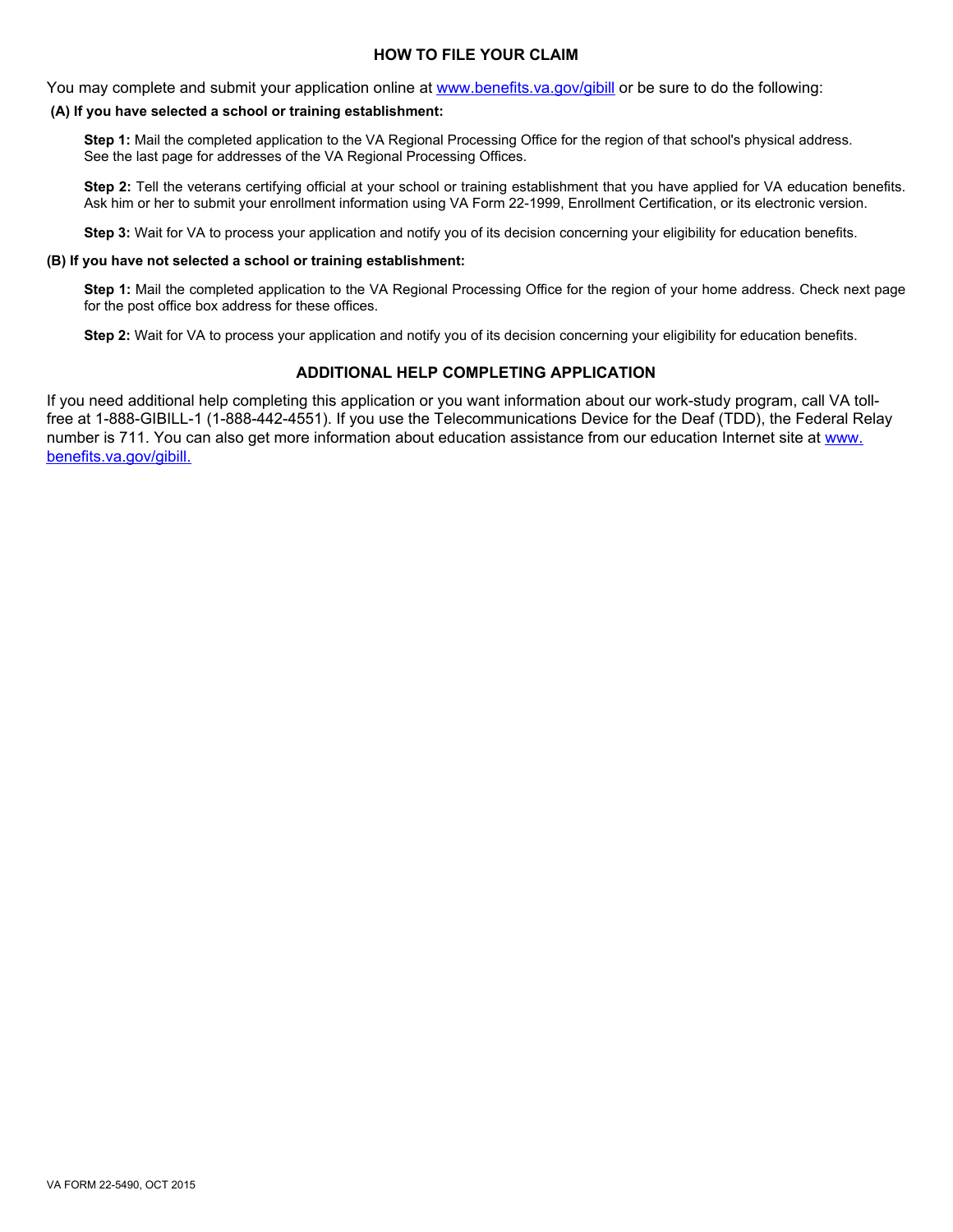## **HOW TO FILE YOUR CLAIM**

You may complete and submit your application online at <www.benefits.va.gov/gibill> or be sure to do the following:

#### **(A) If you have selected a school or training establishment:**

**Step 1:** Mail the completed application to the VA Regional Processing Office for the region of that school's physical address. See the last page for addresses of the VA Regional Processing Offices.

**Step 2:** Tell the veterans certifying official at your school or training establishment that you have applied for VA education benefits. Ask him or her to submit your enrollment information using VA Form 22-1999, Enrollment Certification, or its electronic version.

**Step 3:** Wait for VA to process your application and notify you of its decision concerning your eligibility for education benefits.

#### **(B) If you have not selected a school or training establishment:**

**Step 1:** Mail the completed application to the VA Regional Processing Office for the region of your home address. Check next page for the post office box address for these offices.

**Step 2:** Wait for VA to process your application and notify you of its decision concerning your eligibility for education benefits.

# **ADDITIONAL HELP COMPLETING APPLICATION**

If you need additional help completing this application or you want information about our work-study program, call VA tollfree at 1-888-GIBILL-1 (1-888-442-4551). If you use the Telecommunications Device for the Deaf (TDD), the Federal Relay number is 711. You can also get more information about education assistance from our education Internet site at [www.](www.benefits.va.gov/gibill) [benefits.va.gov/gibill.](www.benefits.va.gov/gibill)